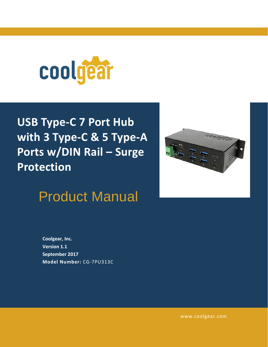

# **USB Type-C 7 Port Hub with 3 Type-C & 5 Type-A Ports w/DIN Rail – Surge Protection**



Product Manual

**Coolgear, Inc. Version 1.1 September 2017 Model Number:** [CG-7PU313C](https://www.coolgear.com/product/usb-c-7-port-hub-3x-type-c-5x-type-a-din-rail-surge-protection)

[www.coolgear.com](https://www.coolgear.com/)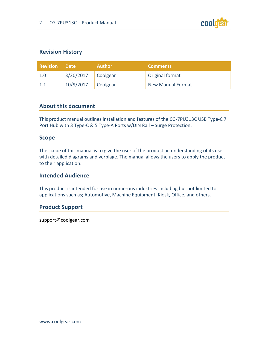

#### **Revision History**

| Revision   Date |                      | <b>Author</b> | <b>Comments</b>          |
|-----------------|----------------------|---------------|--------------------------|
| 1.0             | $3/20/2017$ Coolgear |               | Original format          |
|                 | $10/9/2017$ Coolgear |               | <b>New Manual Format</b> |

#### **About this document**

This product manual outlines installation and features of the CG-7PU313C USB Type-C 7 Port Hub with 3 Type-C & 5 Type-A Ports w/DIN Rail – Surge Protection.

#### **Scope**

The scope of this manual is to give the user of the product an understanding of its use with detailed diagrams and verbiage. The manual allows the users to apply the product to their application.

#### **Intended Audience**

This product is intended for use in numerous industries including but not limited to applications such as; Automotive, Machine Equipment, Kiosk, Office, and others.

#### **Product Support**

support@coolgear.com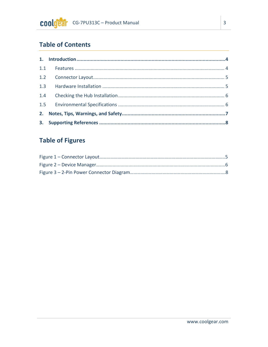# **Table of Contents**

## **Table of Figures**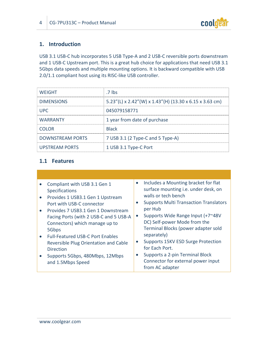

#### <span id="page-3-0"></span>**1. Introduction**

USB 3.1 USB-C hub incorporates 5 USB Type-A and 2 USB-C reversible ports downstream and 1 USB-C Upstream port. This is a great hub choice for applications that need USB 3.1 5Gbps data speeds and multiple mounting options. It is backward compatible with USB 2.0/1.1 compliant host using its RISC-like USB controller.

| <b>WEIGHT</b>           | .7 lbs                                                  |
|-------------------------|---------------------------------------------------------|
| <b>DIMENSIONS</b>       | 5.23"(L) x 2.42"(W) x 1.43"(H) (13.30 x 6.15 x 3.63 cm) |
| UPC.                    | 045079158771                                            |
| <b>WARRANTY</b>         | 1 year from date of purchase                            |
| <b>COLOR</b>            | <b>Black</b>                                            |
| <b>DOWNSTREAM PORTS</b> | 7 USB 3.1 (2 Type-C and 5 Type-A)                       |
| <b>UPSTREAM PORTS</b>   | 1 USB 3.1 Type-C Port                                   |

#### <span id="page-3-1"></span>**1.1 Features**

|           | Compliant with USB 3.1 Gen 1<br>Specifications       | Includes a Mounting bracket for flat<br>$\bullet$<br>surface mounting i.e. under desk, on |  |
|-----------|------------------------------------------------------|-------------------------------------------------------------------------------------------|--|
| $\bullet$ | Provides 1 USB3.1 Gen 1 Upstream                     | walls or tech bench                                                                       |  |
|           | Port with USB-C connector                            | <b>Supports Multi Transaction Translators</b>                                             |  |
|           | Provides 7 USB3.1 Gen 1 Downstream                   | per Hub                                                                                   |  |
|           | Facing Ports (with 2 USB-C and 5 USB-A               | Supports Wide Range Input (+7~48V<br>$\bullet$                                            |  |
|           | Connectors) which manage up to                       | DC) Self-power Mode from the                                                              |  |
|           | 5Gbps                                                | Terminal Blocks (power adapter sold                                                       |  |
|           | <b>Full-Featured USB-C Port Enables</b>              | separately)                                                                               |  |
|           | Reversible Plug Orientation and Cable                | Supports 15KV ESD Surge Protection                                                        |  |
|           | <b>Direction</b>                                     | for Each Port.                                                                            |  |
|           | Supports 5Gbps, 480Mbps, 12Mbps<br>and 1.5Mbps Speed | Supports a 2-pin Terminal Block<br>Connector for external power input<br>from AC adapter  |  |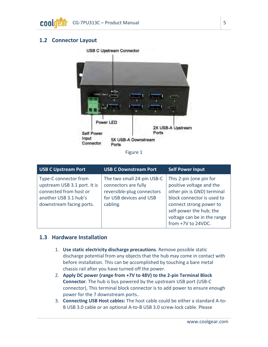#### <span id="page-4-2"></span><span id="page-4-0"></span>**1.2 Connector Layout**

#### USB C Upstream Connector



#### Figure 1

| <b>USB C Upstream Port</b>                                                                                                           | <b>USB C Downstream Port</b>                                                                                            | <b>Self Power Input</b>                                                                                                                                                                                                    |
|--------------------------------------------------------------------------------------------------------------------------------------|-------------------------------------------------------------------------------------------------------------------------|----------------------------------------------------------------------------------------------------------------------------------------------------------------------------------------------------------------------------|
| Type-C connector from<br>upstream USB 3.1 port. It is<br>connected from host or<br>another USB 3.1 hub's<br>downstream facing ports. | The two small 24-pin USB-C<br>connectors are fully<br>reversible-plug connectors<br>for USB devices and USB<br>cabling. | This 2-pin (one pin for<br>positive voltage and the<br>other pin is GND) terminal<br>block connector is used to<br>connect strong power to<br>self-power the hub; the<br>voltage can be in the range<br>from +7V to 24VDC. |

#### <span id="page-4-1"></span>**1.3 Hardware Installation**

- 1. **Use static electricity discharge precautions**. Remove possible static discharge potential from any objects that the hub may come in contact with before installation. This can be accomplished by touching a bare metal chassis rail after you have turned off the power.
- 2. **Apply DC power (range from +7V to 48V) to the 2-pin Terminal Block Connector**. The hub is bus powered by the upstream USB port (USB-C connector), This terminal block connector is to add power to ensure enough power for the 7 downstream ports..
- 3. **Connecting USB Host cables:** The host cable could be either a standard A-to-B USB 3.0 cable or an optional A-to-B USB 3.0 screw-lock cable. Please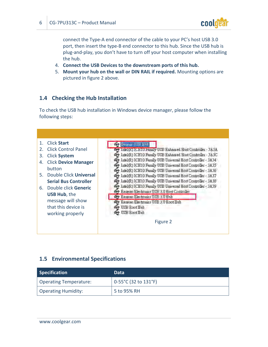

connect the Type-A end connector of the cable to your PC's host USB 3.0 port, then insert the type-B end connector to this hub. Since the USB hub is plug-and-play, you don't have to turn off your host computer when installing the hub.

- 4. **Connect the USB Devices to the downstream ports of this hub.**
- 5. **Mount your hub on the wall or DIN RAIL if required.** Mounting options are pictured in figure 2 above.

#### <span id="page-5-0"></span>**1.4 Checking the Hub Installation**

To check the USB hub installation in Windows device manager, please follow the following steps:

| <b>Click Start</b>                | enenc USB Hat                                                   |
|-----------------------------------|-----------------------------------------------------------------|
| Click Control Panel<br>2.         | Intel(R) ICH1U Family USB Enhanced Host Controller - 3A3A       |
| <b>Click System</b><br>3.         | Intel(R) ICH10 Family USB Enhanced Host Controller - 3A3C       |
| <b>Click Device Manager</b><br>4. | The Intel(R) ICH10 Family USB Universal Host Controller - 3A34  |
| button                            | The Intel(R) ICH10 Family USB Universal Host Controller - 3A35  |
| 5.                                | The Intel(R) ICH10 Family USB Universal Host Controller - 3A36  |
| Double Click Universal            | The Intel(R) ICH10 Family USB Universal Host Controller - 3A37  |
| <b>Serial Bus Controller</b>      | The Intel(R) ICH10 Family USB Universal Host Controller - 3A38  |
| Double click Generic<br>6.        | The Intel (R) ICH10 Family USB Universal Host Controller - 3A39 |
| <b>USB Hub, the</b>               | Renesas Electronics USB 3.0 Host Controller                     |
| message will show                 | Renesas Electronics USB 3.0 Hub                                 |
| that this device is               | Renesas Electronics USB 3.0 Root Hub<br><b>See USE Root Hub</b> |
|                                   |                                                                 |
| working properly                  | USE Root Hub                                                    |
|                                   | Figure 2                                                        |

#### <span id="page-5-1"></span>**1.5 Environmental Specifications**

| <b>Specification</b>          | Data                         |
|-------------------------------|------------------------------|
| <b>Operating Temperature:</b> | $\vert$ 0-55°C (32 to 131°F) |
| <b>Operating Humidity:</b>    | 5 to 95% RH                  |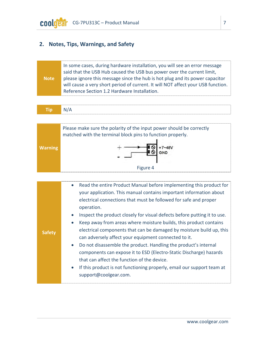## <span id="page-6-0"></span>**2. Notes, Tips, Warnings, and Safety**

|                                                                                             | In some cases, during hardware installation, you will see an error message<br>said that the USB Hub caused the USB bus power over the current limit, |
|---------------------------------------------------------------------------------------------|------------------------------------------------------------------------------------------------------------------------------------------------------|
| please ignore this message since the hub is hot plug and its power capacitor<br><b>Note</b> |                                                                                                                                                      |
|                                                                                             | will cause a very short period of current. It will NOT affect your USB function.                                                                     |
|                                                                                             | Reference Section 1.2 Hardware Installation.                                                                                                         |

| ΪD |
|----|
|----|

<span id="page-6-1"></span>

| <b>Safety</b> | Read the entire Product Manual before implementing this product for<br>$\bullet$<br>your application. This manual contains important information about<br>electrical connections that must be followed for safe and proper<br>operation.<br>Inspect the product closely for visual defects before putting it to use.<br>$\bullet$<br>Keep away from areas where moisture builds, this product contains<br>$\bullet$<br>electrical components that can be damaged by moisture build up, this<br>can adversely affect your equipment connected to it.<br>Do not disassemble the product. Handling the product's internal<br>$\bullet$<br>components can expose it to ESD (Electro-Static Discharge) hazards<br>that can affect the function of the device.<br>If this product is not functioning properly, email our support team at<br>$\bullet$<br>support@coolgear.com. |
|---------------|--------------------------------------------------------------------------------------------------------------------------------------------------------------------------------------------------------------------------------------------------------------------------------------------------------------------------------------------------------------------------------------------------------------------------------------------------------------------------------------------------------------------------------------------------------------------------------------------------------------------------------------------------------------------------------------------------------------------------------------------------------------------------------------------------------------------------------------------------------------------------|